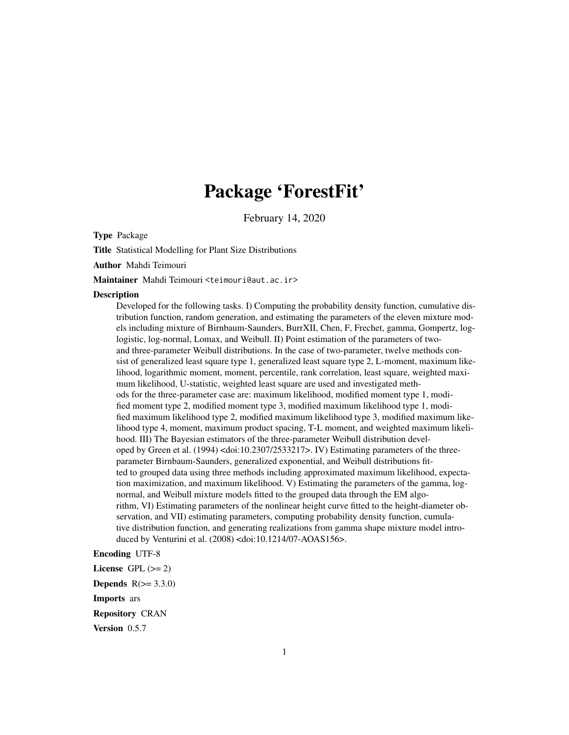# Package 'ForestFit'

February 14, 2020

Type Package

Title Statistical Modelling for Plant Size Distributions

Author Mahdi Teimouri

Maintainer Mahdi Teimouri <teimouri@aut.ac.ir>

#### **Description**

Developed for the following tasks. I) Computing the probability density function, cumulative distribution function, random generation, and estimating the parameters of the eleven mixture models including mixture of Birnbaum-Saunders, BurrXII, Chen, F, Frechet, gamma, Gompertz, loglogistic, log-normal, Lomax, and Weibull. II) Point estimation of the parameters of twoand three-parameter Weibull distributions. In the case of two-parameter, twelve methods consist of generalized least square type 1, generalized least square type 2, L-moment, maximum likelihood, logarithmic moment, moment, percentile, rank correlation, least square, weighted maximum likelihood, U-statistic, weighted least square are used and investigated methods for the three-parameter case are: maximum likelihood, modified moment type 1, modified moment type 2, modified moment type 3, modified maximum likelihood type 1, modified maximum likelihood type 2, modified maximum likelihood type 3, modified maximum likelihood type 4, moment, maximum product spacing, T-L moment, and weighted maximum likelihood. III) The Bayesian estimators of the three-parameter Weibull distribution developed by Green et al. (1994) <doi:10.2307/2533217>. IV) Estimating parameters of the threeparameter Birnbaum-Saunders, generalized exponential, and Weibull distributions fitted to grouped data using three methods including approximated maximum likelihood, expectation maximization, and maximum likelihood. V) Estimating the parameters of the gamma, lognormal, and Weibull mixture models fitted to the grouped data through the EM algorithm, VI) Estimating parameters of the nonlinear height curve fitted to the height-diameter observation, and VII) estimating parameters, computing probability density function, cumulative distribution function, and generating realizations from gamma shape mixture model introduced by Venturini et al. (2008) <doi:10.1214/07-AOAS156>.

# Encoding UTF-8

License GPL  $(>= 2)$ Depends  $R(>= 3.3.0)$ 

Imports ars

Repository CRAN

Version 0.5.7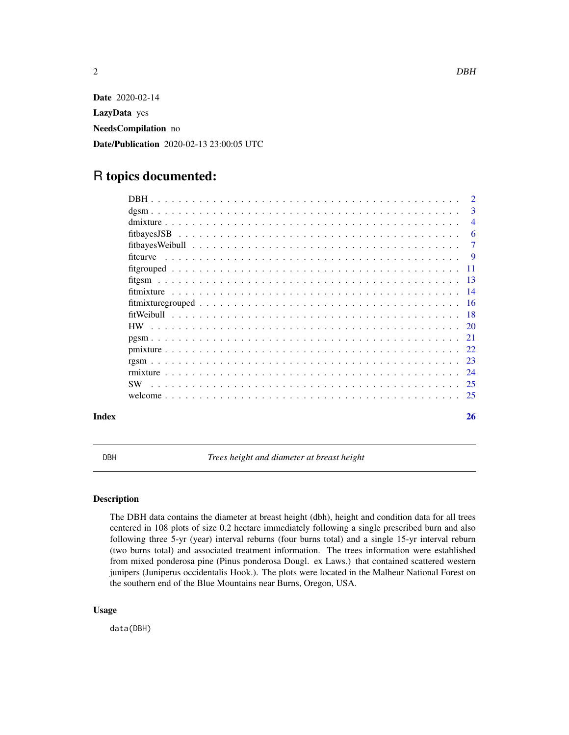<span id="page-1-0"></span>

Date 2020-02-14 LazyData yes NeedsCompilation no Date/Publication 2020-02-13 23:00:05 UTC

# R topics documented:

|           |  |  | $\mathcal{D}$  |
|-----------|--|--|----------------|
|           |  |  | 3              |
|           |  |  | $\overline{4}$ |
|           |  |  | -6             |
|           |  |  | -7             |
|           |  |  |                |
|           |  |  |                |
|           |  |  |                |
|           |  |  |                |
|           |  |  |                |
|           |  |  |                |
|           |  |  |                |
|           |  |  |                |
|           |  |  |                |
|           |  |  |                |
|           |  |  |                |
| <b>SW</b> |  |  |                |
|           |  |  |                |
| Index     |  |  | 26             |

DBH *Trees height and diameter at breast height*

# Description

The DBH data contains the diameter at breast height (dbh), height and condition data for all trees centered in 108 plots of size 0.2 hectare immediately following a single prescribed burn and also following three 5-yr (year) interval reburns (four burns total) and a single 15-yr interval reburn (two burns total) and associated treatment information. The trees information were established from mixed ponderosa pine (Pinus ponderosa Dougl. ex Laws.) that contained scattered western junipers (Juniperus occidentalis Hook.). The plots were located in the Malheur National Forest on the southern end of the Blue Mountains near Burns, Oregon, USA.

## Usage

data(DBH)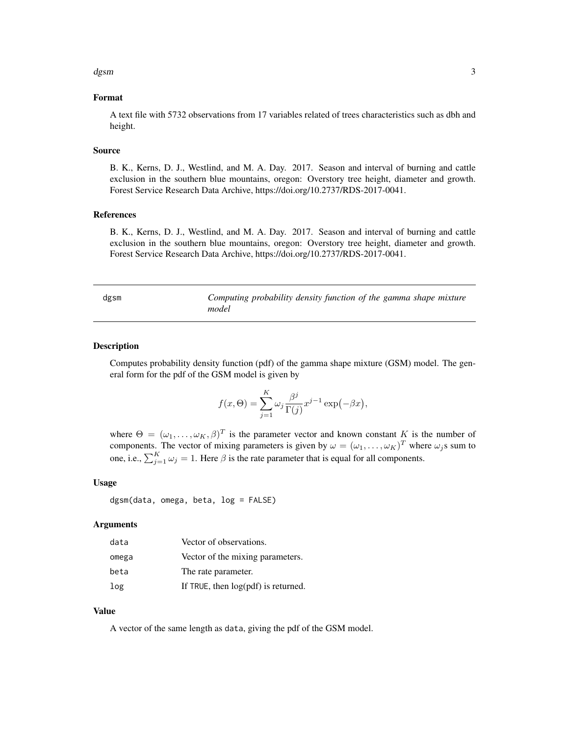#### <span id="page-2-0"></span>dgsm 3

# Format

A text file with 5732 observations from 17 variables related of trees characteristics such as dbh and height.

#### Source

B. K., Kerns, D. J., Westlind, and M. A. Day. 2017. Season and interval of burning and cattle exclusion in the southern blue mountains, oregon: Overstory tree height, diameter and growth. Forest Service Research Data Archive, https://doi.org/10.2737/RDS-2017-0041.

# References

B. K., Kerns, D. J., Westlind, and M. A. Day. 2017. Season and interval of burning and cattle exclusion in the southern blue mountains, oregon: Overstory tree height, diameter and growth. Forest Service Research Data Archive, https://doi.org/10.2737/RDS-2017-0041.

dgsm *Computing probability density function of the gamma shape mixture model*

#### Description

Computes probability density function (pdf) of the gamma shape mixture (GSM) model. The general form for the pdf of the GSM model is given by

$$
f(x,\Theta) = \sum_{j=1}^{K} \omega_j \frac{\beta^j}{\Gamma(j)} x^{j-1} \exp(-\beta x),
$$

where  $\Theta = (\omega_1, \ldots, \omega_K, \beta)^T$  is the parameter vector and known constant K is the number of components. The vector of mixing parameters is given by  $\omega = (\omega_1, \dots, \omega_K)^T$  where  $\omega_j$ s sum to one, i.e.,  $\sum_{j=1}^{K} \omega_j = 1$ . Here  $\beta$  is the rate parameter that is equal for all components.

#### Usage

dgsm(data, omega, beta, log = FALSE)

# Arguments

| data  | Vector of observations.               |
|-------|---------------------------------------|
| omega | Vector of the mixing parameters.      |
| beta  | The rate parameter.                   |
| log   | If TRUE, then $log(pdf)$ is returned. |

# Value

A vector of the same length as data, giving the pdf of the GSM model.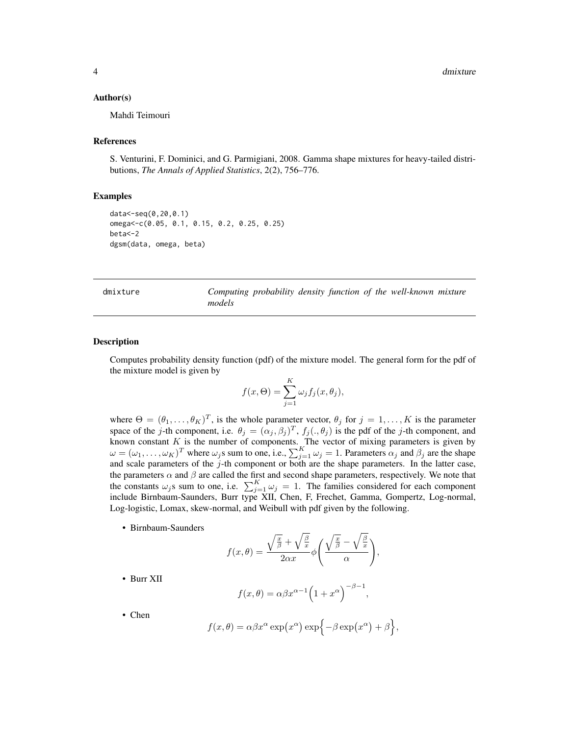# <span id="page-3-0"></span>Author(s)

Mahdi Teimouri

#### References

S. Venturini, F. Dominici, and G. Parmigiani, 2008. Gamma shape mixtures for heavy-tailed distributions, *The Annals of Applied Statistics*, 2(2), 756–776.

# Examples

```
data<-seq(0,20,0.1)
omega<-c(0.05, 0.1, 0.15, 0.2, 0.25, 0.25)
beta<-2
dgsm(data, omega, beta)
```
dmixture *Computing probability density function of the well-known mixture models*

#### Description

Computes probability density function (pdf) of the mixture model. The general form for the pdf of the mixture model is given by

$$
f(x,\Theta) = \sum_{j=1}^{K} \omega_j f_j(x,\theta_j),
$$

where  $\Theta = (\theta_1, \dots, \theta_K)^T$ , is the whole parameter vector,  $\theta_j$  for  $j = 1, \dots, K$  is the parameter space of the j-th component, i.e.  $\theta_j = (\alpha_j, \beta_j)^T$ ,  $f_j(., \theta_j)$  is the pdf of the j-th component, and known constant  $K$  is the number of components. The vector of mixing parameters is given by  $\omega = (\omega_1, \dots, \omega_K)^T$  where  $\omega_j$ s sum to one, i.e.,  $\sum_{j=1}^K \omega_j = 1$ . Parameters  $\alpha_j$  and  $\beta_j$  are the shape and scale parameters of the  $j$ -th component or both are the shape parameters. In the latter case, the parameters  $\alpha$  and  $\beta$  are called the first and second shape parameters, respectively. We note that the constants  $\omega_j$ s sum to one, i.e.  $\sum_{j=1}^K \omega_j = 1$ . The families considered for each component include Birnbaum-Saunders, Burr type XII, Chen, F, Frechet, Gamma, Gompertz, Log-normal, Log-logistic, Lomax, skew-normal, and Weibull with pdf given by the following.

• Birnbaum-Saunders

$$
f(x,\theta) = \frac{\sqrt{\frac{x}{\beta}} + \sqrt{\frac{\beta}{x}}}{2\alpha x} \phi \left( \frac{\sqrt{\frac{x}{\beta}} - \sqrt{\frac{\beta}{x}}}{\alpha} \right),
$$

• Burr XII

$$
f(x,\theta) = \alpha \beta x^{\alpha-1} \left(1 + x^{\alpha}\right)^{-\beta - 1},
$$

• Chen

$$
f(x,\theta) = \alpha \beta x^{\alpha} \exp(x^{\alpha}) \exp\{-\beta \exp(x^{\alpha}) + \beta\},\
$$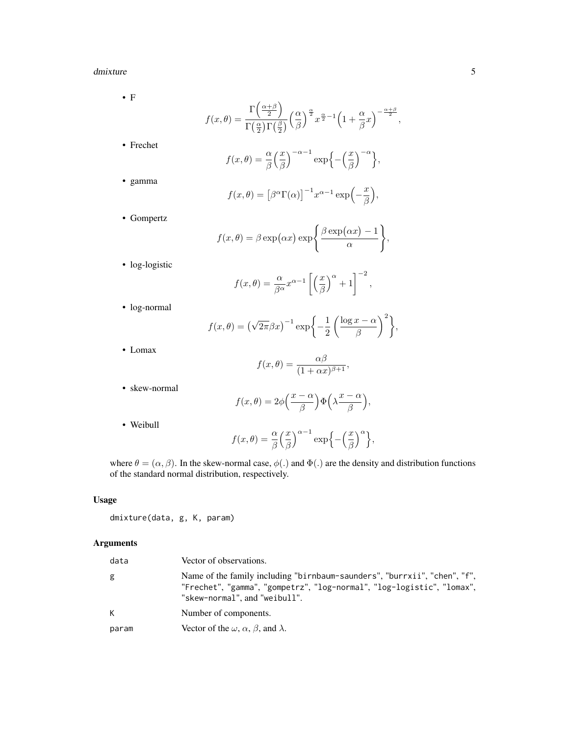#### dmixture 5

• F

$$
f(x,\theta) = \frac{\Gamma\left(\frac{\alpha+\beta}{2}\right)}{\Gamma\left(\frac{\alpha}{2}\right)\Gamma\left(\frac{\beta}{2}\right)} \left(\frac{\alpha}{\beta}\right)^{\frac{\alpha}{2}} x^{\frac{\alpha}{2}-1} \left(1+\frac{\alpha}{\beta}x\right)^{-\frac{\alpha+\beta}{2}},
$$

• Frechet

$$
f(x,\theta) = \frac{\alpha}{\beta} \left(\frac{x}{\beta}\right)^{-\alpha-1} \exp\left\{-\left(\frac{x}{\beta}\right)^{-\alpha}\right\},\,
$$

• gamma

$$
f(x,\theta) = [\beta^{\alpha} \Gamma(\alpha)]^{-1} x^{\alpha-1} \exp(-\frac{x}{\beta}),
$$

• Gompertz

$$
f(x,\theta) = \beta \exp(\alpha x) \exp\left\{\frac{\beta \exp(\alpha x) - 1}{\alpha}\right\},\,
$$

• log-logistic

$$
f(x,\theta) = \frac{\alpha}{\beta^{\alpha}} x^{\alpha-1} \left[ \left( \frac{x}{\beta} \right)^{\alpha} + 1 \right]^{-2},
$$

• log-normal

$$
f(x,\theta) = (\sqrt{2\pi}\beta x)^{-1} \exp\left\{-\frac{1}{2}\left(\frac{\log x - \alpha}{\beta}\right)^2\right\},\
$$

• Lomax

$$
f(x,\theta) = \frac{\alpha\beta}{(1+\alpha x)^{\beta+1}},
$$

• skew-normal

$$
f(x,\theta) = 2\phi\left(\frac{x-\alpha}{\beta}\right)\Phi\left(\lambda\frac{x-\alpha}{\beta}\right),\,
$$

• Weibull

$$
f(x,\theta) = \frac{\alpha}{\beta} \left(\frac{x}{\beta}\right)^{\alpha-1} \exp\left\{-\left(\frac{x}{\beta}\right)^{\alpha}\right\},\
$$

where  $\theta = (\alpha, \beta)$ . In the skew-normal case,  $\phi(.)$  and  $\Phi(.)$  are the density and distribution functions of the standard normal distribution, respectively.

# Usage

dmixture(data, g, K, param)

# Arguments

| data  | Vector of observations.                                                                                                                                                              |
|-------|--------------------------------------------------------------------------------------------------------------------------------------------------------------------------------------|
| g     | Name of the family including "birnbaum-saunders", "burrxii", "chen", "f",<br>"Frechet", "gamma", "gompetrz", "log-normal", "log-logistic", "lomax",<br>"skew-normal", and "weibull". |
| K     | Number of components.                                                                                                                                                                |
| param | Vector of the $\omega$ , $\alpha$ , $\beta$ , and $\lambda$ .                                                                                                                        |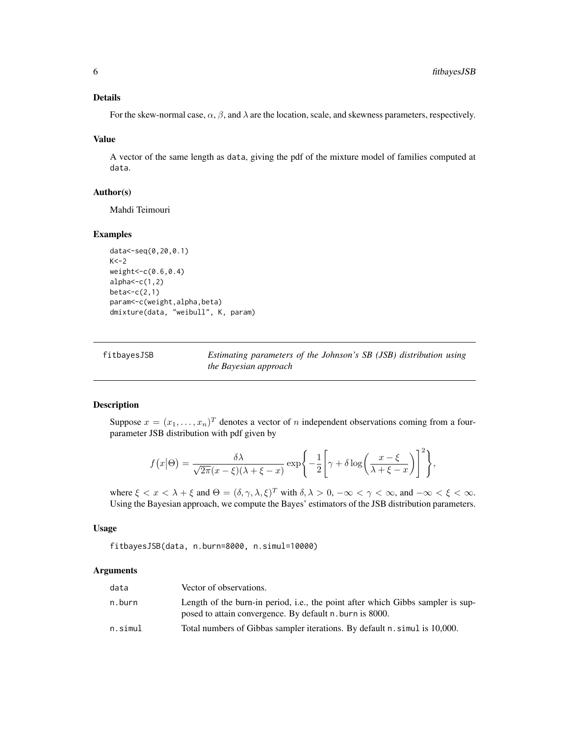# <span id="page-5-0"></span>Details

For the skew-normal case,  $\alpha$ ,  $\beta$ , and  $\lambda$  are the location, scale, and skewness parameters, respectively.

#### Value

A vector of the same length as data, giving the pdf of the mixture model of families computed at data.

# Author(s)

Mahdi Teimouri

# Examples

```
data<-seq(0,20,0.1)
K < -2weight<-c(0.6,0.4)
alpha < -c(1,2)beta < -c(2,1)param<-c(weight,alpha,beta)
dmixture(data, "weibull", K, param)
```

| fitbayesJSB | Estimating parameters of the Johnson's SB (JSB) distribution using |  |  |  |
|-------------|--------------------------------------------------------------------|--|--|--|
|             | <i>the Bayesian approach</i>                                       |  |  |  |

# Description

Suppose  $x = (x_1, \ldots, x_n)^T$  denotes a vector of n independent observations coming from a fourparameter JSB distribution with pdf given by

$$
f(x|\Theta) = \frac{\delta \lambda}{\sqrt{2\pi}(x-\xi)(\lambda+\xi-x)} \exp\left\{-\frac{1}{2}\left[\gamma + \delta \log\left(\frac{x-\xi}{\lambda+\xi-x}\right)\right]^2\right\},\,
$$

where  $\xi < x < \lambda + \xi$  and  $\Theta = (\delta, \gamma, \lambda, \xi)^T$  with  $\delta, \lambda > 0$ ,  $-\infty < \gamma < \infty$ , and  $-\infty < \xi < \infty$ . Using the Bayesian approach, we compute the Bayes' estimators of the JSB distribution parameters.

# Usage

fitbayesJSB(data, n.burn=8000, n.simul=10000)

# Arguments

| data    | Vector of observations.                                                                                                                     |
|---------|---------------------------------------------------------------------------------------------------------------------------------------------|
| n.burn  | Length of the burn-in period, i.e., the point after which Gibbs sampler is sup-<br>posed to attain convergence. By default n. burn is 8000. |
| n.simul | Total numbers of Gibbas sampler iterations. By default n. simul is 10,000.                                                                  |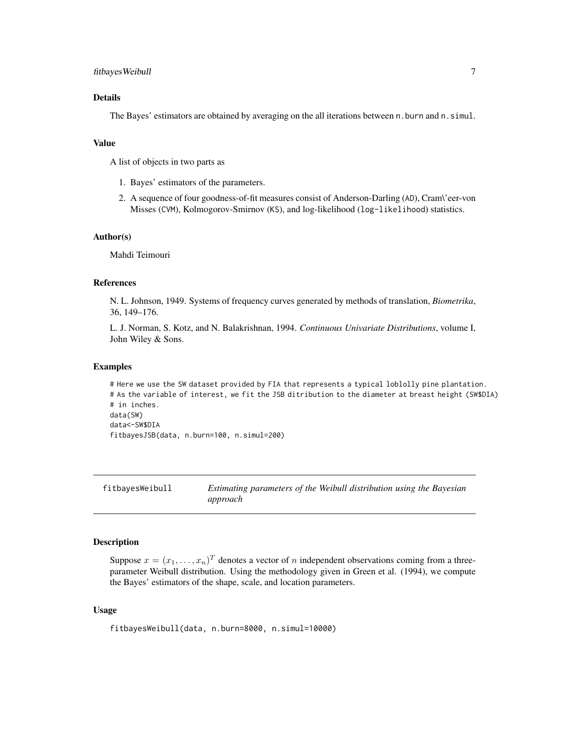# <span id="page-6-0"></span>fitbayesWeibull 7

# Details

The Bayes' estimators are obtained by averaging on the all iterations between n.burn and n.simul.

# Value

A list of objects in two parts as

- 1. Bayes' estimators of the parameters.
- 2. A sequence of four goodness-of-fit measures consist of Anderson-Darling (AD), Cram\'eer-von Misses (CVM), Kolmogorov-Smirnov (KS), and log-likelihood (log-likelihood) statistics.

#### Author(s)

Mahdi Teimouri

# References

N. L. Johnson, 1949. Systems of frequency curves generated by methods of translation, *Biometrika*, 36, 149–176.

L. J. Norman, S. Kotz, and N. Balakrishnan, 1994. *Continuous Univariate Distributions*, volume I, John Wiley & Sons.

# Examples

# Here we use the SW dataset provided by FIA that represents a typical loblolly pine plantation. # As the variable of interest, we fit the JSB ditribution to the diameter at breast height (SW\$DIA) # in inches. data(SW) data<-SW\$DIA

fitbayesJSB(data, n.burn=100, n.simul=200)

fitbayesWeibull *Estimating parameters of the Weibull distribution using the Bayesian approach*

# **Description**

Suppose  $x = (x_1, \dots, x_n)^T$  denotes a vector of n independent observations coming from a threeparameter Weibull distribution. Using the methodology given in Green et al. (1994), we compute the Bayes' estimators of the shape, scale, and location parameters.

# Usage

```
fitbayesWeibull(data, n.burn=8000, n.simul=10000)
```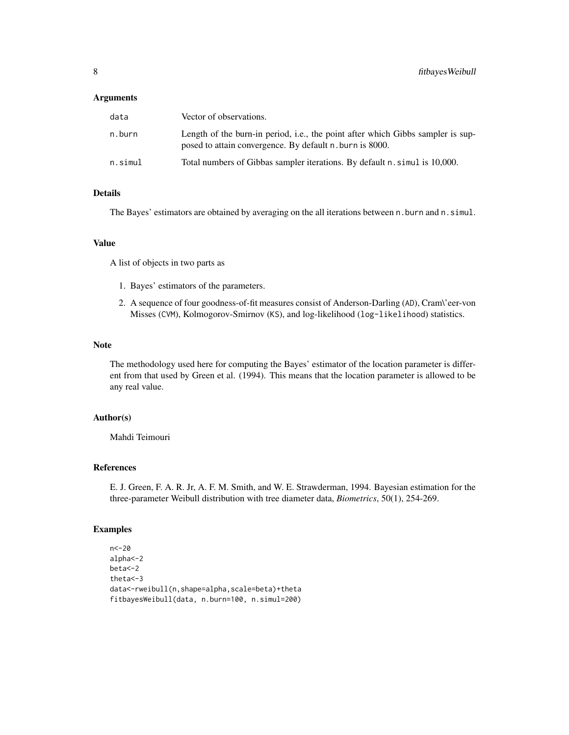# Arguments

| data    | Vector of observations.                                                                                                                     |
|---------|---------------------------------------------------------------------------------------------------------------------------------------------|
| n.burn  | Length of the burn-in period, i.e., the point after which Gibbs sampler is sup-<br>posed to attain convergence. By default n. burn is 8000. |
| n.simul | Total numbers of Gibbas sampler iterations. By default n. simul is 10,000.                                                                  |

# Details

The Bayes' estimators are obtained by averaging on the all iterations between n.burn and n. simul.

# Value

A list of objects in two parts as

- 1. Bayes' estimators of the parameters.
- 2. A sequence of four goodness-of-fit measures consist of Anderson-Darling (AD), Cram\'eer-von Misses (CVM), Kolmogorov-Smirnov (KS), and log-likelihood (log-likelihood) statistics.

#### Note

The methodology used here for computing the Bayes' estimator of the location parameter is different from that used by Green et al. (1994). This means that the location parameter is allowed to be any real value.

# Author(s)

Mahdi Teimouri

#### References

E. J. Green, F. A. R. Jr, A. F. M. Smith, and W. E. Strawderman, 1994. Bayesian estimation for the three-parameter Weibull distribution with tree diameter data, *Biometrics*, 50(1), 254-269.

# Examples

n<-20 alpha<-2 beta<-2 theta<-3 data<-rweibull(n,shape=alpha,scale=beta)+theta fitbayesWeibull(data, n.burn=100, n.simul=200)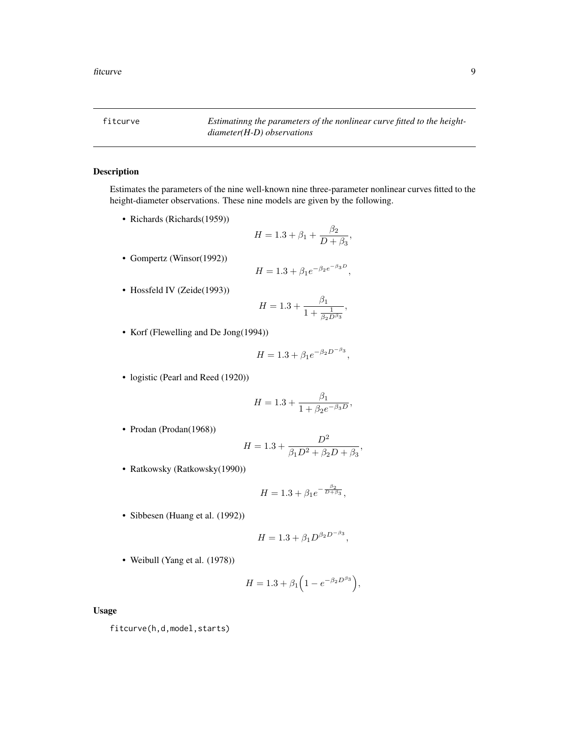<span id="page-8-0"></span>fitcurve *Estimatinng the parameters of the nonlinear curve fitted to the heightdiameter(H-D) observations*

 $\frac{P}{D + \beta_3}$ 

# Description

Estimates the parameters of the nine well-known nine three-parameter nonlinear curves fitted to the height-diameter observations. These nine models are given by the following.

 $H = 1.3 + \beta_1 + \frac{\beta_2}{D}$ 

- Richards (Richards(1959))
- Gompertz (Winsor(1992))

$$
H = 1.3 + \beta_1 e^{-\beta_2 e^{-\beta_3 D}},
$$

• Hossfeld IV (Zeide(1993))

$$
H = 1.3 + \frac{\beta_1}{1 + \frac{1}{\beta_2 D^{\beta_3}}},
$$

• Korf (Flewelling and De Jong(1994))

$$
H = 1.3 + \beta_1 e^{-\beta_2 D^{-\beta_3}},
$$

• logistic (Pearl and Reed (1920))

$$
H = 1.3 + \frac{\beta_1}{1 + \beta_2 e^{-\beta_3 D}},
$$

• Prodan (Prodan(1968))

$$
H = 1.3 + \frac{D^2}{\beta_1 D^2 + \beta_2 D + \beta_3},
$$

• Ratkowsky (Ratkowsky(1990))

$$
H = 1.3 + \beta_1 e^{-\frac{\beta_2}{D + \beta_3}},
$$

• Sibbesen (Huang et al. (1992))

$$
H = 1.3 + \beta_1 D^{\beta_2 D^{-\beta_3}},
$$

• Weibull (Yang et al. (1978))

$$
H = 1.3 + \beta_1 \left( 1 - e^{-\beta_2 D^{\beta_3}} \right),
$$

Usage

fitcurve(h,d,model,starts)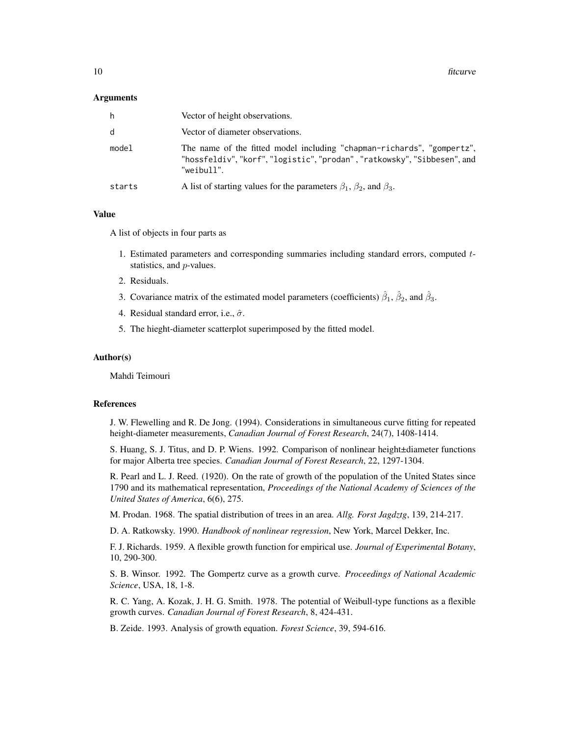#### Arguments

| h.     | Vector of height observations.                                                                                                                              |
|--------|-------------------------------------------------------------------------------------------------------------------------------------------------------------|
| d      | Vector of diameter observations.                                                                                                                            |
| model  | The name of the fitted model including "chapman-richards", "gompertz",<br>"hossfeldiv","korf","logistic","prodan","ratkowsky","Sibbesen", and<br>"weibull". |
| starts | A list of starting values for the parameters $\beta_1$ , $\beta_2$ , and $\beta_3$ .                                                                        |

# Value

A list of objects in four parts as

- 1. Estimated parameters and corresponding summaries including standard errors, computed tstatistics, and p-values.
- 2. Residuals.
- 3. Covariance matrix of the estimated model parameters (coefficients)  $\hat{\beta}_1$ ,  $\hat{\beta}_2$ , and  $\hat{\beta}_3$ .
- 4. Residual standard error, i.e.,  $\hat{\sigma}$ .
- 5. The hieght-diameter scatterplot superimposed by the fitted model.

#### Author(s)

Mahdi Teimouri

# References

J. W. Flewelling and R. De Jong. (1994). Considerations in simultaneous curve fitting for repeated height-diameter measurements, *Canadian Journal of Forest Research*, 24(7), 1408-1414.

S. Huang, S. J. Titus, and D. P. Wiens. 1992. Comparison of nonlinear height±diameter functions for major Alberta tree species. *Canadian Journal of Forest Research*, 22, 1297-1304.

R. Pearl and L. J. Reed. (1920). On the rate of growth of the population of the United States since 1790 and its mathematical representation, *Proceedings of the National Academy of Sciences of the United States of America*, 6(6), 275.

M. Prodan. 1968. The spatial distribution of trees in an area. *Allg. Forst Jagdztg*, 139, 214-217.

D. A. Ratkowsky. 1990. *Handbook of nonlinear regression*, New York, Marcel Dekker, Inc.

F. J. Richards. 1959. A flexible growth function for empirical use. *Journal of Experimental Botany*, 10, 290-300.

S. B. Winsor. 1992. The Gompertz curve as a growth curve. *Proceedings of National Academic Science*, USA, 18, 1-8.

R. C. Yang, A. Kozak, J. H. G. Smith. 1978. The potential of Weibull-type functions as a flexible growth curves. *Canadian Journal of Forest Research*, 8, 424-431.

B. Zeide. 1993. Analysis of growth equation. *Forest Science*, 39, 594-616.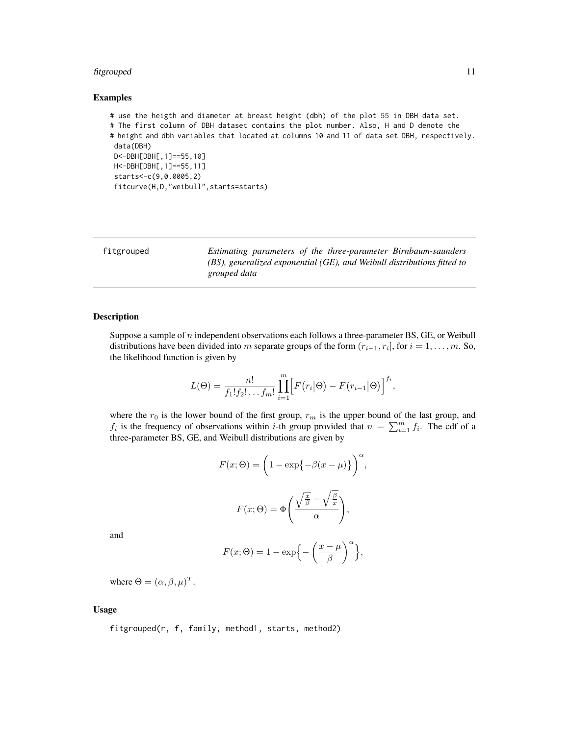# <span id="page-10-0"></span>fitgrouped 11

# Examples

```
# use the heigth and diameter at breast height (dbh) of the plot 55 in DBH data set.
# The first column of DBH dataset contains the plot number. Also, H and D denote the
# height and dbh variables that located at columns 10 and 11 of data set DBH, respectively.
data(DBH)
D<-DBH[DBH[,1]==55,10]
H<-DBH[DBH[,1]==55,11]
starts<-c(9,0.0005,2)
 fitcurve(H,D,"weibull",starts=starts)
```

| fitgrouped | Estimating parameters of the three-parameter Birnbaum-saunders             |
|------------|----------------------------------------------------------------------------|
|            | $(BS)$ , generalized exponential (GE), and Weibull distributions fitted to |
|            | grouped data                                                               |

# Description

Suppose a sample of  $n$  independent observations each follows a three-parameter BS, GE, or Weibull distributions have been divided into m separate groups of the form  $(r_{i-1}, r_i]$ , for  $i = 1, \ldots, m$ . So, the likelihood function is given by

$$
L(\Theta) = \frac{n!}{f_1! f_2! \dots f_m!} \prod_{i=1}^m \Big[ F(r_i | \Theta) - F(r_{i-1} | \Theta) \Big]^{f_i},
$$

where the  $r_0$  is the lower bound of the first group,  $r_m$  is the upper bound of the last group, and  $f_i$  is the frequency of observations within *i*-th group provided that  $n = \sum_{i=1}^{m} f_i$ . The cdf of a three-parameter BS, GE, and Weibull distributions are given by

$$
F(x; \Theta) = \left(1 - \exp\{-\beta(x - \mu)\}\right)^{\alpha},
$$

$$
F(x; \Theta) = \Phi\left(\frac{\sqrt{\frac{x}{\beta}} - \sqrt{\frac{\beta}{x}}}{\alpha}\right),
$$

and

$$
F(x; \Theta) = 1 - \exp\left\{-\left(\frac{x-\mu}{\beta}\right)^{\alpha}\right\},\,
$$

where  $\Theta = (\alpha, \beta, \mu)^T$ .

# Usage

fitgrouped(r, f, family, method1, starts, method2)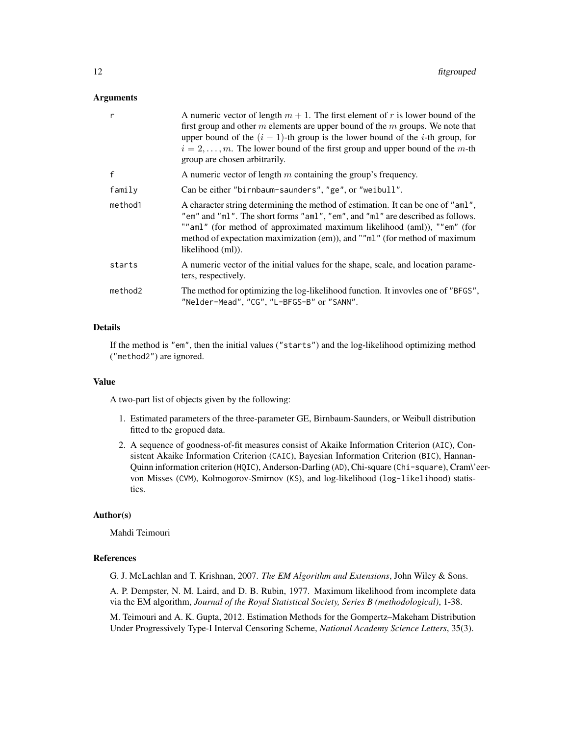# Arguments

| r       | A numeric vector of length $m + 1$ . The first element of r is lower bound of the<br>first group and other $m$ elements are upper bound of the $m$ groups. We note that<br>upper bound of the $(i - 1)$ -th group is the lower bound of the <i>i</i> -th group, for<br>$i = 2, \ldots, m$ . The lower bound of the first group and upper bound of the m-th<br>group are chosen arbitrarily. |
|---------|---------------------------------------------------------------------------------------------------------------------------------------------------------------------------------------------------------------------------------------------------------------------------------------------------------------------------------------------------------------------------------------------|
| f       | A numeric vector of length $m$ containing the group's frequency.                                                                                                                                                                                                                                                                                                                            |
| family  | Can be either "birnbaum-saunders", "ge", or "weibull".                                                                                                                                                                                                                                                                                                                                      |
| method1 | A character string determining the method of estimation. It can be one of "aml",<br>"em" and "ml". The short forms "aml", "em", and "ml" are described as follows.<br>"" aml" (for method of approximated maximum likelihood (aml)), ""em" (for<br>method of expectation maximization (em)), and ""ml" (for method of maximum<br>likelihood (ml)).                                          |
| starts  | A numeric vector of the initial values for the shape, scale, and location parame-<br>ters, respectively.                                                                                                                                                                                                                                                                                    |
| method2 | The method for optimizing the log-likelihood function. It invovles one of "BFGS",<br>"Nelder-Mead", "CG", "L-BFGS-B" or "SANN".                                                                                                                                                                                                                                                             |
|         |                                                                                                                                                                                                                                                                                                                                                                                             |

# Details

If the method is "em", then the initial values ("starts") and the log-likelihood optimizing method ("method2") are ignored.

#### Value

A two-part list of objects given by the following:

- 1. Estimated parameters of the three-parameter GE, Birnbaum-Saunders, or Weibull distribution fitted to the gropued data.
- 2. A sequence of goodness-of-fit measures consist of Akaike Information Criterion (AIC), Consistent Akaike Information Criterion (CAIC), Bayesian Information Criterion (BIC), Hannan-Quinn information criterion (HQIC), Anderson-Darling (AD), Chi-square (Chi-square), Cram\'eervon Misses (CVM), Kolmogorov-Smirnov (KS), and log-likelihood (log-likelihood) statistics.

# Author(s)

Mahdi Teimouri

# References

G. J. McLachlan and T. Krishnan, 2007. *The EM Algorithm and Extensions*, John Wiley & Sons.

A. P. Dempster, N. M. Laird, and D. B. Rubin, 1977. Maximum likelihood from incomplete data via the EM algorithm, *Journal of the Royal Statistical Society, Series B (methodological)*, 1-38.

M. Teimouri and A. K. Gupta, 2012. Estimation Methods for the Gompertz–Makeham Distribution Under Progressively Type-I Interval Censoring Scheme, *National Academy Science Letters*, 35(3).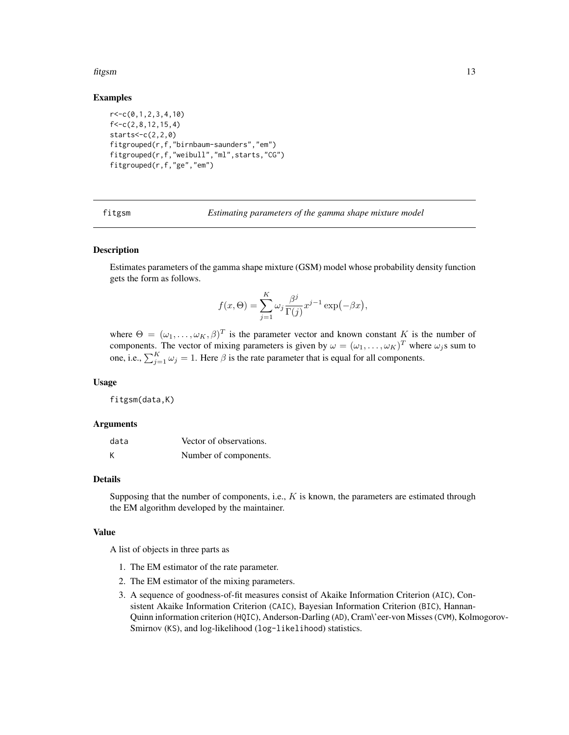#### <span id="page-12-0"></span>fitgsm 13

# Examples

```
r < -c(0,1,2,3,4,10)f < -c(2, 8, 12, 15, 4)stars < -c(2, 2, 0)fitgrouped(r,f,"birnbaum-saunders","em")
fitgrouped(r,f,"weibull","ml",starts,"CG")
fitgrouped(r,f,"ge","em")
```
fitgsm *Estimating parameters of the gamma shape mixture model*

# **Description**

Estimates parameters of the gamma shape mixture (GSM) model whose probability density function gets the form as follows.

$$
f(x,\Theta) = \sum_{j=1}^{K} \omega_j \frac{\beta^j}{\Gamma(j)} x^{j-1} \exp(-\beta x),
$$

where  $\Theta = (\omega_1, \dots, \omega_K, \beta)^T$  is the parameter vector and known constant K is the number of components. The vector of mixing parameters is given by  $\omega = (\omega_1, \dots, \omega_K)^T$  where  $\omega_j$ s sum to one, i.e.,  $\sum_{j=1}^{K} \omega_j = 1$ . Here  $\beta$  is the rate parameter that is equal for all components.

# Usage

fitgsm(data,K)

# Arguments

| data | Vector of observations. |
|------|-------------------------|
| K    | Number of components.   |

# Details

Supposing that the number of components, i.e.,  $K$  is known, the parameters are estimated through the EM algorithm developed by the maintainer.

#### Value

A list of objects in three parts as

- 1. The EM estimator of the rate parameter.
- 2. The EM estimator of the mixing parameters.
- 3. A sequence of goodness-of-fit measures consist of Akaike Information Criterion (AIC), Consistent Akaike Information Criterion (CAIC), Bayesian Information Criterion (BIC), Hannan-Quinn information criterion (HQIC), Anderson-Darling (AD), Cram\'eer-von Misses (CVM), Kolmogorov-Smirnov (KS), and log-likelihood (log-likelihood) statistics.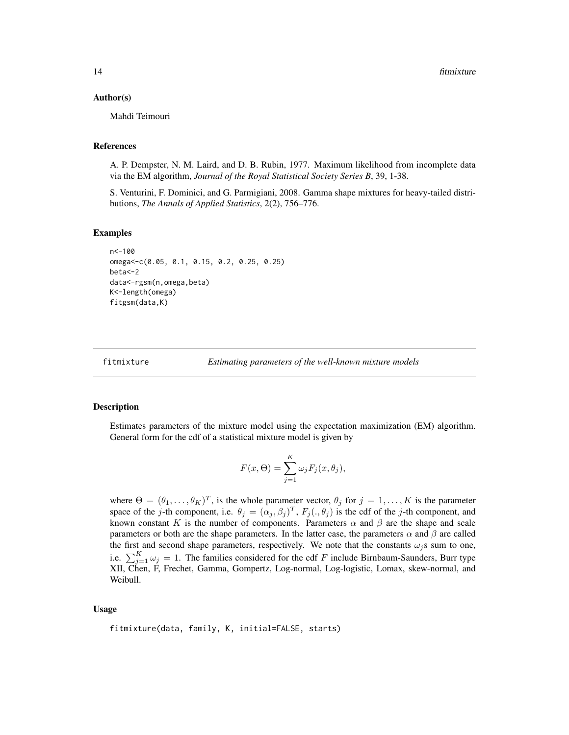# <span id="page-13-0"></span>Author(s)

Mahdi Teimouri

# References

A. P. Dempster, N. M. Laird, and D. B. Rubin, 1977. Maximum likelihood from incomplete data via the EM algorithm, *Journal of the Royal Statistical Society Series B*, 39, 1-38.

S. Venturini, F. Dominici, and G. Parmigiani, 2008. Gamma shape mixtures for heavy-tailed distributions, *The Annals of Applied Statistics*, 2(2), 756–776.

# Examples

```
n<-100
omega<-c(0.05, 0.1, 0.15, 0.2, 0.25, 0.25)
beta<-2
data<-rgsm(n,omega,beta)
K<-length(omega)
fitgsm(data,K)
```
fitmixture *Estimating parameters of the well-known mixture models*

# Description

Estimates parameters of the mixture model using the expectation maximization (EM) algorithm. General form for the cdf of a statistical mixture model is given by

$$
F(x,\Theta) = \sum_{j=1}^{K} \omega_j F_j(x,\theta_j),
$$

where  $\Theta = (\theta_1, \dots, \theta_K)^T$ , is the whole parameter vector,  $\theta_j$  for  $j = 1, \dots, K$  is the parameter space of the j-th component, i.e.  $\theta_j = (\alpha_j, \beta_j)^T$ ,  $F_j(., \theta_j)$  is the cdf of the j-th component, and known constant K is the number of components. Parameters  $\alpha$  and  $\beta$  are the shape and scale parameters or both are the shape parameters. In the latter case, the parameters  $\alpha$  and  $\beta$  are called the first and second shape parameters, respectively. We note that the constants  $\omega_j$ s sum to one, i.e.  $\sum_{j=1}^{K} \omega_j = 1$ . The families considered for the cdf F include Birnbaum-Saunders, Burr type XII, Chen, F, Frechet, Gamma, Gompertz, Log-normal, Log-logistic, Lomax, skew-normal, and Weibull.

#### Usage

fitmixture(data, family, K, initial=FALSE, starts)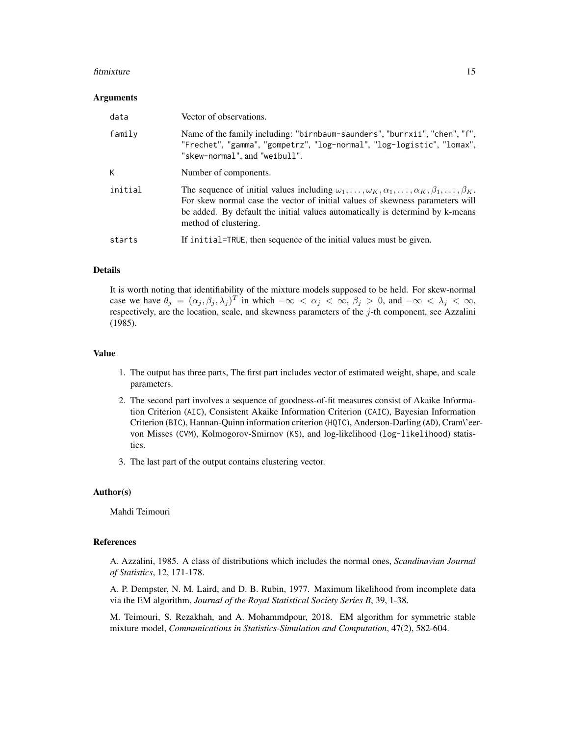#### fitmixture that the contract of the contract of the contract of the contract of the contract of the contract of the contract of the contract of the contract of the contract of the contract of the contract of the contract o

#### Arguments

| data    | Vector of observations.                                                                                                                                                                                                                                                                                                  |
|---------|--------------------------------------------------------------------------------------------------------------------------------------------------------------------------------------------------------------------------------------------------------------------------------------------------------------------------|
| family  | Name of the family including: "birnbaum-saunders", "burrxii", "chen", "f",<br>"Frechet", "gamma", "gompetrz", "log-normal", "log-logistic", "lomax",<br>"skew-normal", and "weibull".                                                                                                                                    |
| К       | Number of components.                                                                                                                                                                                                                                                                                                    |
| initial | The sequence of initial values including $\omega_1, \ldots, \omega_K, \alpha_1, \ldots, \alpha_K, \beta_1, \ldots, \beta_K$ .<br>For skew normal case the vector of initial values of skewness parameters will<br>be added. By default the initial values automatically is determind by k-means<br>method of clustering. |
| starts  | If initial=TRUE, then sequence of the initial values must be given.                                                                                                                                                                                                                                                      |

# Details

It is worth noting that identifiability of the mixture models supposed to be held. For skew-normal case we have  $\theta_j = (\alpha_j, \beta_j, \lambda_j)^T$  in which  $-\infty < \alpha_j < \infty$ ,  $\beta_j > 0$ , and  $-\infty < \lambda_j < \infty$ , respectively, are the location, scale, and skewness parameters of the  $j$ -th component, see Azzalini (1985).

# Value

- 1. The output has three parts, The first part includes vector of estimated weight, shape, and scale parameters.
- 2. The second part involves a sequence of goodness-of-fit measures consist of Akaike Information Criterion (AIC), Consistent Akaike Information Criterion (CAIC), Bayesian Information Criterion (BIC), Hannan-Quinn information criterion (HQIC), Anderson-Darling (AD), Cram\'eervon Misses (CVM), Kolmogorov-Smirnov (KS), and log-likelihood (log-likelihood) statistics.
- 3. The last part of the output contains clustering vector.

# Author(s)

Mahdi Teimouri

# References

A. Azzalini, 1985. A class of distributions which includes the normal ones, *Scandinavian Journal of Statistics*, 12, 171-178.

A. P. Dempster, N. M. Laird, and D. B. Rubin, 1977. Maximum likelihood from incomplete data via the EM algorithm, *Journal of the Royal Statistical Society Series B*, 39, 1-38.

M. Teimouri, S. Rezakhah, and A. Mohammdpour, 2018. EM algorithm for symmetric stable mixture model, *Communications in Statistics-Simulation and Computation*, 47(2), 582-604.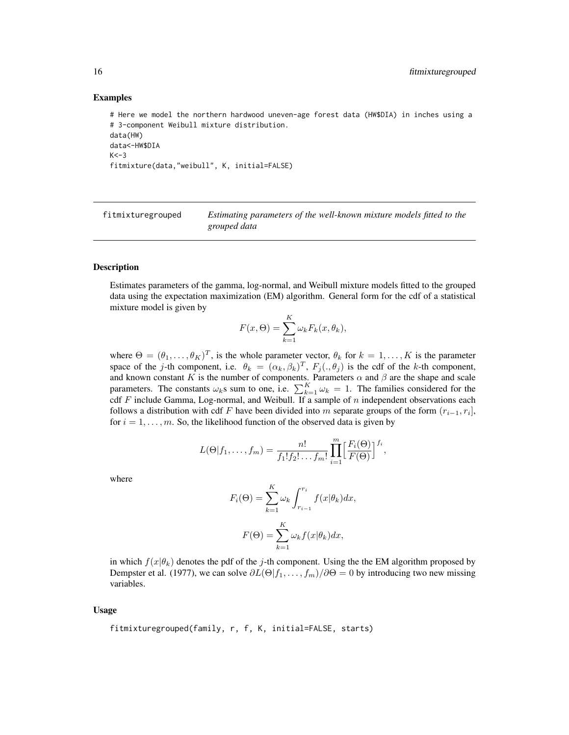#### Examples

```
# Here we model the northern hardwood uneven-age forest data (HW$DIA) in inches using a
# 3-component Weibull mixture distribution.
data(HW)
data<-HW$DIA
K < -3fitmixture(data,"weibull", K, initial=FALSE)
```
fitmixturegrouped *Estimating parameters of the well-known mixture models fitted to the grouped data*

# Description

Estimates parameters of the gamma, log-normal, and Weibull mixture models fitted to the grouped data using the expectation maximization (EM) algorithm. General form for the cdf of a statistical mixture model is given by

$$
F(x,\Theta) = \sum_{k=1}^{K} \omega_k F_k(x,\theta_k),
$$

where  $\Theta = (\theta_1, \dots, \theta_K)^T$ , is the whole parameter vector,  $\theta_k$  for  $k = 1, \dots, K$  is the parameter space of the j-th component, i.e.  $\theta_k = (\alpha_k, \beta_k)^T$ ,  $F_j(., \theta_j)$  is the cdf of the k-th component, and known constant K is the number of components. Parameters  $\alpha$  and  $\beta$  are the shape and scale parameters. The constants  $\omega_k$ s sum to one, i.e.  $\sum_{k=1}^K \omega_k = 1$ . The families considered for the cdf  $F$  include Gamma, Log-normal, and Weibull. If a sample of  $n$  independent observations each follows a distribution with cdf F have been divided into m separate groups of the form  $(r_{i-1}, r_i]$ , for  $i = 1, \ldots, m$ . So, the likelihood function of the observed data is given by

$$
L(\Theta|f_1,\ldots,f_m)=\frac{n!}{f_1!f_2!\ldots f_m!}\prod_{i=1}^m\Bigl[\frac{F_i(\Theta)}{F(\Theta)}\Bigr]^{f_i},
$$

where

$$
F_i(\Theta) = \sum_{k=1}^K \omega_k \int_{r_{i-1}}^{r_i} f(x|\theta_k) dx,
$$

$$
F(\Theta) = \sum_{k=1}^K \omega_k f(x|\theta_k) dx,
$$

in which  $f(x|\theta_k)$  denotes the pdf of the j-th component. Using the the EM algorithm proposed by Dempster et al. (1977), we can solve  $\partial L(\Theta|f_1,\ldots,f_m)/\partial\Theta = 0$  by introducing two new missing variables.

#### Usage

fitmixturegrouped(family, r, f, K, initial=FALSE, starts)

<span id="page-15-0"></span>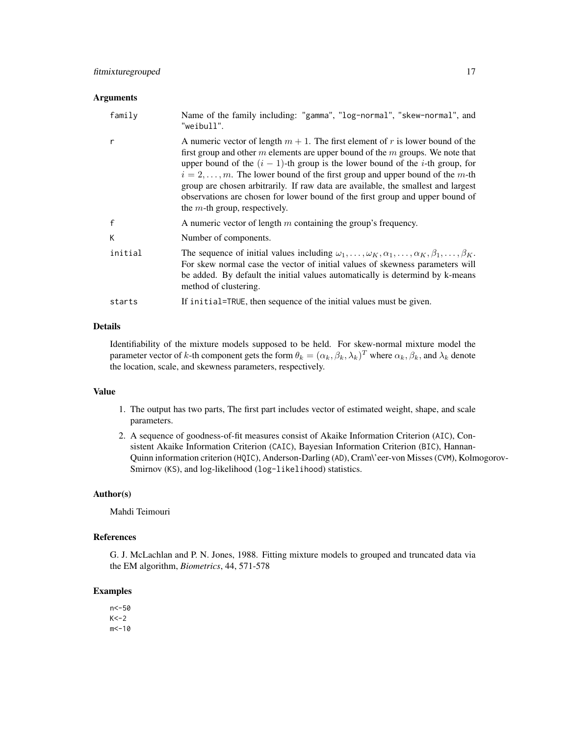#### **Arguments**

| family  | Name of the family including: "gamma", "log-normal", "skew-normal", and<br>"weibull".                                                                                                                                                                                                                                                                                                                                                                                                                                                                                |
|---------|----------------------------------------------------------------------------------------------------------------------------------------------------------------------------------------------------------------------------------------------------------------------------------------------------------------------------------------------------------------------------------------------------------------------------------------------------------------------------------------------------------------------------------------------------------------------|
| r       | A numeric vector of length $m + 1$ . The first element of r is lower bound of the<br>first group and other $m$ elements are upper bound of the $m$ groups. We note that<br>upper bound of the $(i - 1)$ -th group is the lower bound of the <i>i</i> -th group, for<br>$i = 2, \ldots, m$ . The lower bound of the first group and upper bound of the m-th<br>group are chosen arbitrarily. If raw data are available, the smallest and largest<br>observations are chosen for lower bound of the first group and upper bound of<br>the $m$ -th group, respectively. |
| f       | A numeric vector of length $m$ containing the group's frequency.                                                                                                                                                                                                                                                                                                                                                                                                                                                                                                     |
| К       | Number of components.                                                                                                                                                                                                                                                                                                                                                                                                                                                                                                                                                |
| initial | The sequence of initial values including $\omega_1, \ldots, \omega_K, \alpha_1, \ldots, \alpha_K, \beta_1, \ldots, \beta_K$ .<br>For skew normal case the vector of initial values of skewness parameters will<br>be added. By default the initial values automatically is determind by k-means<br>method of clustering.                                                                                                                                                                                                                                             |
| starts  | If initial=TRUE, then sequence of the initial values must be given.                                                                                                                                                                                                                                                                                                                                                                                                                                                                                                  |

# Details

Identifiability of the mixture models supposed to be held. For skew-normal mixture model the parameter vector of k-th component gets the form  $\theta_k = (\alpha_k, \beta_k, \lambda_k)^T$  where  $\alpha_k, \beta_k$ , and  $\lambda_k$  denote the location, scale, and skewness parameters, respectively.

# Value

- 1. The output has two parts, The first part includes vector of estimated weight, shape, and scale parameters.
- 2. A sequence of goodness-of-fit measures consist of Akaike Information Criterion (AIC), Consistent Akaike Information Criterion (CAIC), Bayesian Information Criterion (BIC), Hannan-Quinn information criterion (HQIC), Anderson-Darling (AD), Cram\'eer-von Misses (CVM), Kolmogorov-Smirnov (KS), and log-likelihood (log-likelihood) statistics.

# Author(s)

Mahdi Teimouri

# References

G. J. McLachlan and P. N. Jones, 1988. Fitting mixture models to grouped and truncated data via the EM algorithm, *Biometrics*, 44, 571-578

# Examples

n<-50  $K < -2$  $m < -10$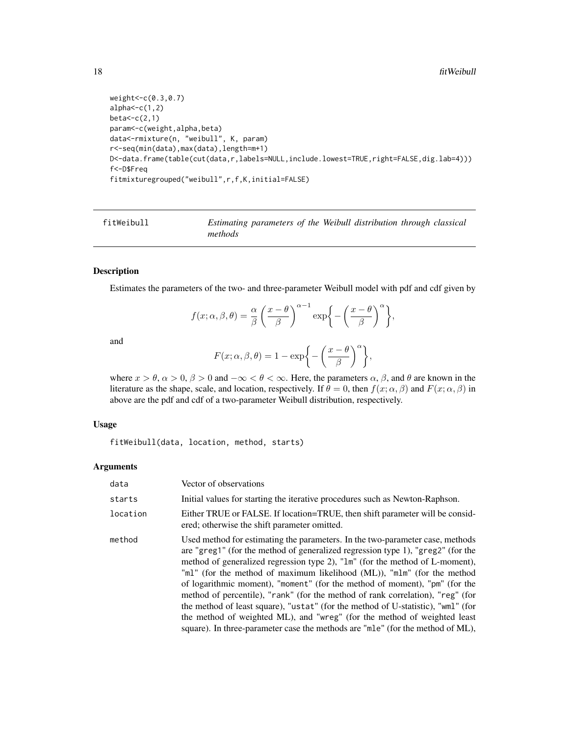```
weight<-c(0.3,0.7)
alpha < -c(1,2)beta < -c(2,1)param<-c(weight,alpha,beta)
data<-rmixture(n, "weibull", K, param)
r<-seq(min(data),max(data),length=m+1)
D<-data.frame(table(cut(data,r,labels=NULL,include.lowest=TRUE,right=FALSE,dig.lab=4)))
f<-D$Freq
fitmixturegrouped("weibull",r,f,K,initial=FALSE)
```
fitWeibull *Estimating parameters of the Weibull distribution through classical methods*

# Description

Estimates the parameters of the two- and three-parameter Weibull model with pdf and cdf given by

$$
f(x; \alpha, \beta, \theta) = \frac{\alpha}{\beta} \left( \frac{x - \theta}{\beta} \right)^{\alpha - 1} \exp \left\{ - \left( \frac{x - \theta}{\beta} \right)^{\alpha} \right\},\
$$

and

$$
F(x; \alpha, \beta, \theta) = 1 - \exp\bigg\{-\bigg(\frac{x-\theta}{\beta}\bigg)^{\alpha}\bigg\},\,
$$

where  $x > \theta$ ,  $\alpha > 0$ ,  $\beta > 0$  and  $-\infty < \theta < \infty$ . Here, the parameters  $\alpha$ ,  $\beta$ , and  $\theta$  are known in the literature as the shape, scale, and location, respectively. If  $\theta = 0$ , then  $f(x; \alpha, \beta)$  and  $F(x; \alpha, \beta)$  in above are the pdf and cdf of a two-parameter Weibull distribution, respectively.

# Usage

fitWeibull(data, location, method, starts)

#### Arguments

| data     | Vector of observations                                                                                                                                                                                                                                                                                                                                                                                                                                                                                                                                                                                                                                                                                                                        |
|----------|-----------------------------------------------------------------------------------------------------------------------------------------------------------------------------------------------------------------------------------------------------------------------------------------------------------------------------------------------------------------------------------------------------------------------------------------------------------------------------------------------------------------------------------------------------------------------------------------------------------------------------------------------------------------------------------------------------------------------------------------------|
| starts   | Initial values for starting the iterative procedures such as Newton-Raphson.                                                                                                                                                                                                                                                                                                                                                                                                                                                                                                                                                                                                                                                                  |
| location | Either TRUE or FALSE. If location=TRUE, then shift parameter will be consid-<br>ered; otherwise the shift parameter omitted.                                                                                                                                                                                                                                                                                                                                                                                                                                                                                                                                                                                                                  |
| method   | Used method for estimating the parameters. In the two-parameter case, methods<br>are "greg1" (for the method of generalized regression type 1), "greg2" (for the<br>method of generalized regression type 2), "1m" (for the method of L-moment),<br>"ml" (for the method of maximum likelihood (ML)), "mlm" (for the method<br>of logarithmic moment), "moment" (for the method of moment), "pm" (for the<br>method of percentile), "rank" (for the method of rank correlation), "reg" (for<br>the method of least square), "ustat" (for the method of U-statistic), "wml" (for<br>the method of weighted ML), and "wreg" (for the method of weighted least<br>square). In three-parameter case the methods are "mle" (for the method of ML), |

<span id="page-17-0"></span>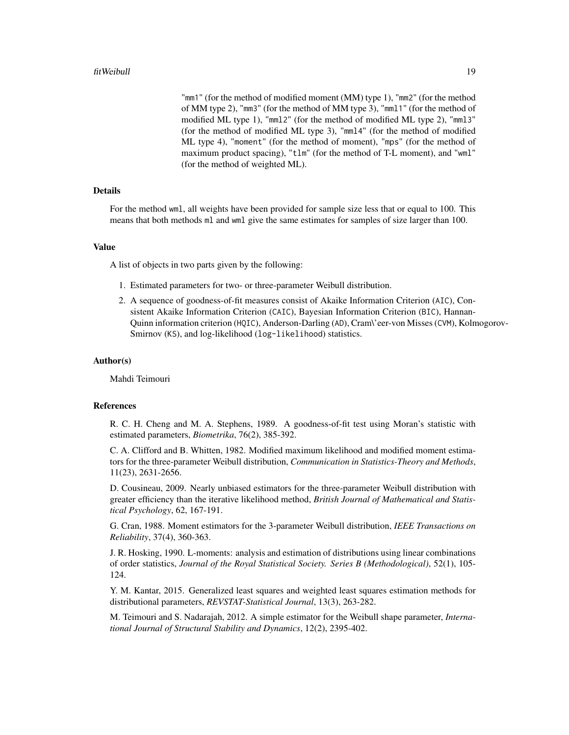"mm1" (for the method of modified moment (MM) type 1), "mm2" (for the method of MM type 2), "mm3" (for the method of MM type 3), "mml1" (for the method of modified ML type 1), "mml2" (for the method of modified ML type 2), "mml3" (for the method of modified ML type 3), "mml4" (for the method of modified ML type 4), "moment" (for the method of moment), "mps" (for the method of maximum product spacing), "tlm" (for the method of T-L moment), and "wml" (for the method of weighted ML).

# Details

For the method wml, all weights have been provided for sample size less that or equal to 100. This means that both methods ml and wml give the same estimates for samples of size larger than 100.

#### Value

A list of objects in two parts given by the following:

- 1. Estimated parameters for two- or three-parameter Weibull distribution.
- 2. A sequence of goodness-of-fit measures consist of Akaike Information Criterion (AIC), Consistent Akaike Information Criterion (CAIC), Bayesian Information Criterion (BIC), Hannan-Quinn information criterion (HQIC), Anderson-Darling (AD), Cram\'eer-von Misses (CVM), Kolmogorov-Smirnov (KS), and log-likelihood (log-likelihood) statistics.

#### Author(s)

Mahdi Teimouri

### **References**

R. C. H. Cheng and M. A. Stephens, 1989. A goodness-of-fit test using Moran's statistic with estimated parameters, *Biometrika*, 76(2), 385-392.

C. A. Clifford and B. Whitten, 1982. Modified maximum likelihood and modified moment estimators for the three-parameter Weibull distribution, *Communication in Statistics-Theory and Methods*, 11(23), 2631-2656.

D. Cousineau, 2009. Nearly unbiased estimators for the three-parameter Weibull distribution with greater efficiency than the iterative likelihood method, *British Journal of Mathematical and Statistical Psychology*, 62, 167-191.

G. Cran, 1988. Moment estimators for the 3-parameter Weibull distribution, *IEEE Transactions on Reliability*, 37(4), 360-363.

J. R. Hosking, 1990. L-moments: analysis and estimation of distributions using linear combinations of order statistics, *Journal of the Royal Statistical Society. Series B (Methodological)*, 52(1), 105- 124.

Y. M. Kantar, 2015. Generalized least squares and weighted least squares estimation methods for distributional parameters, *REVSTAT-Statistical Journal*, 13(3), 263-282.

M. Teimouri and S. Nadarajah, 2012. A simple estimator for the Weibull shape parameter, *International Journal of Structural Stability and Dynamics*, 12(2), 2395-402.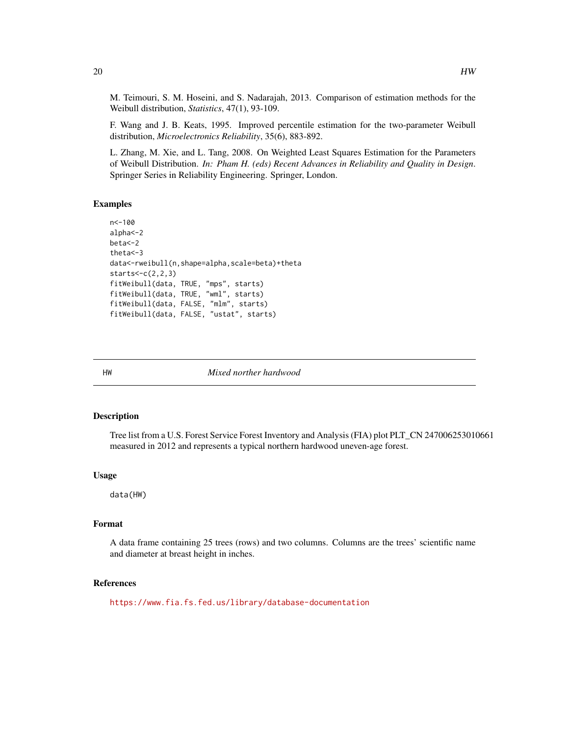M. Teimouri, S. M. Hoseini, and S. Nadarajah, 2013. Comparison of estimation methods for the Weibull distribution, *Statistics*, 47(1), 93-109.

F. Wang and J. B. Keats, 1995. Improved percentile estimation for the two-parameter Weibull distribution, *Microelectronics Reliability*, 35(6), 883-892.

L. Zhang, M. Xie, and L. Tang, 2008. On Weighted Least Squares Estimation for the Parameters of Weibull Distribution. *In: Pham H. (eds) Recent Advances in Reliability and Quality in Design*. Springer Series in Reliability Engineering. Springer, London.

# Examples

```
n<-100
alpha<-2
beta<-2
theta<-3
data<-rweibull(n,shape=alpha,scale=beta)+theta
starts<-c(2,2,3)
fitWeibull(data, TRUE, "mps", starts)
fitWeibull(data, TRUE, "wml", starts)
fitWeibull(data, FALSE, "mlm", starts)
fitWeibull(data, FALSE, "ustat", starts)
```
HW *Mixed norther hardwood*

# Description

Tree list from a U.S. Forest Service Forest Inventory and Analysis (FIA) plot PLT\_CN 247006253010661 measured in 2012 and represents a typical northern hardwood uneven-age forest.

# Usage

data(HW)

#### Format

A data frame containing 25 trees (rows) and two columns. Columns are the trees' scientific name and diameter at breast height in inches.

# References

<https://www.fia.fs.fed.us/library/database-documentation>

<span id="page-19-0"></span>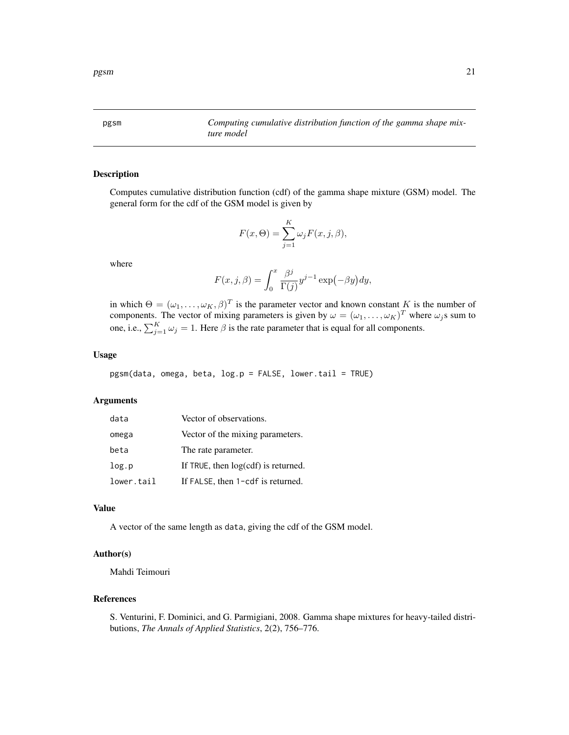<span id="page-20-0"></span>pgsm *Computing cumulative distribution function of the gamma shape mixture model*

# Description

Computes cumulative distribution function (cdf) of the gamma shape mixture (GSM) model. The general form for the cdf of the GSM model is given by

$$
F(x,\Theta) = \sum_{j=1}^{K} \omega_j F(x,j,\beta),
$$

where

$$
F(x, j, \beta) = \int_0^x \frac{\beta^j}{\Gamma(j)} y^{j-1} \exp(-\beta y) dy,
$$

in which  $\Theta = (\omega_1, \dots, \omega_K, \beta)^T$  is the parameter vector and known constant K is the number of components. The vector of mixing parameters is given by  $\omega = (\omega_1, \dots, \omega_K)^T$  where  $\omega_j$ s sum to one, i.e.,  $\sum_{j=1}^{K} \omega_j = 1$ . Here  $\beta$  is the rate parameter that is equal for all components.

# Usage

pgsm(data, omega, beta, log.p = FALSE, lower.tail = TRUE)

# Arguments

| data       | Vector of observations.             |
|------------|-------------------------------------|
| omega      | Vector of the mixing parameters.    |
| beta       | The rate parameter.                 |
| log.p      | If TRUE, then log(cdf) is returned. |
| lower.tail | If FALSE, then 1-cdf is returned.   |

# Value

A vector of the same length as data, giving the cdf of the GSM model.

# Author(s)

Mahdi Teimouri

# References

S. Venturini, F. Dominici, and G. Parmigiani, 2008. Gamma shape mixtures for heavy-tailed distributions, *The Annals of Applied Statistics*, 2(2), 756–776.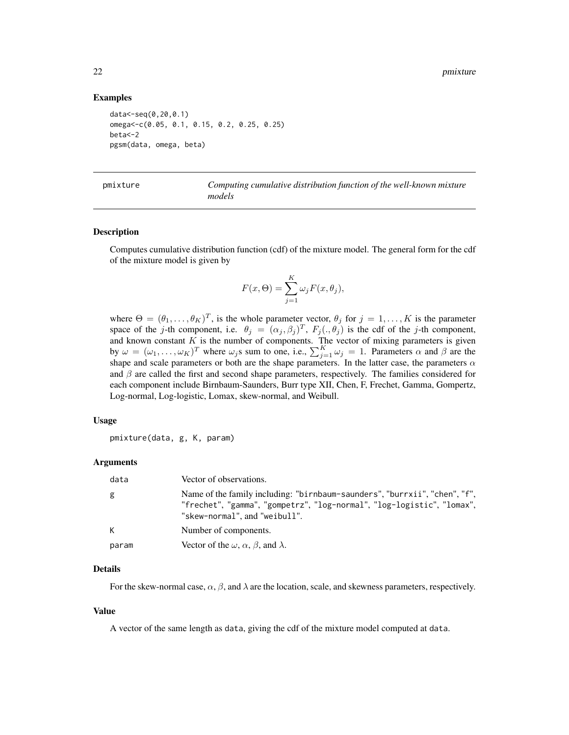# Examples

```
data<-seq(0,20,0.1)
omega<-c(0.05, 0.1, 0.15, 0.2, 0.25, 0.25)
beta<-2
pgsm(data, omega, beta)
```

| mixture |  |
|---------|--|
|---------|--|

pmixture *Computing cumulative distribution function of the well-known mixture models*

#### Description

Computes cumulative distribution function (cdf) of the mixture model. The general form for the cdf of the mixture model is given by

$$
F(x, \Theta) = \sum_{j=1}^{K} \omega_j F(x, \theta_j),
$$

where  $\Theta = (\theta_1, \dots, \theta_K)^T$ , is the whole parameter vector,  $\theta_j$  for  $j = 1, \dots, K$  is the parameter space of the j-th component, i.e.  $\theta_j = (\alpha_j, \beta_j)^T$ ,  $F_j(., \theta_j)$  is the cdf of the j-th component, and known constant  $K$  is the number of components. The vector of mixing parameters is given by  $\omega = (\omega_1, \dots, \omega_K)^T$  where  $\omega_j$ s sum to one, i.e.,  $\sum_{j=1}^K \omega_j = 1$ . Parameters  $\alpha$  and  $\beta$  are the shape and scale parameters or both are the shape parameters. In the latter case, the parameters  $\alpha$ and  $\beta$  are called the first and second shape parameters, respectively. The families considered for each component include Birnbaum-Saunders, Burr type XII, Chen, F, Frechet, Gamma, Gompertz, Log-normal, Log-logistic, Lomax, skew-normal, and Weibull.

# Usage

pmixture(data, g, K, param)

#### Arguments

| data  | Vector of observations.                                                                                                                                                               |
|-------|---------------------------------------------------------------------------------------------------------------------------------------------------------------------------------------|
| g     | Name of the family including: "birnbaum-saunders", "burrxii", "chen", "f",<br>"frechet", "gamma", "gompetrz", "log-normal", "log-logistic", "lomax",<br>"skew-normal", and "weibull". |
| K     | Number of components.                                                                                                                                                                 |
| param | Vector of the $\omega$ , $\alpha$ , $\beta$ , and $\lambda$ .                                                                                                                         |

# Details

For the skew-normal case,  $\alpha$ ,  $\beta$ , and  $\lambda$  are the location, scale, and skewness parameters, respectively.

# Value

A vector of the same length as data, giving the cdf of the mixture model computed at data.

<span id="page-21-0"></span>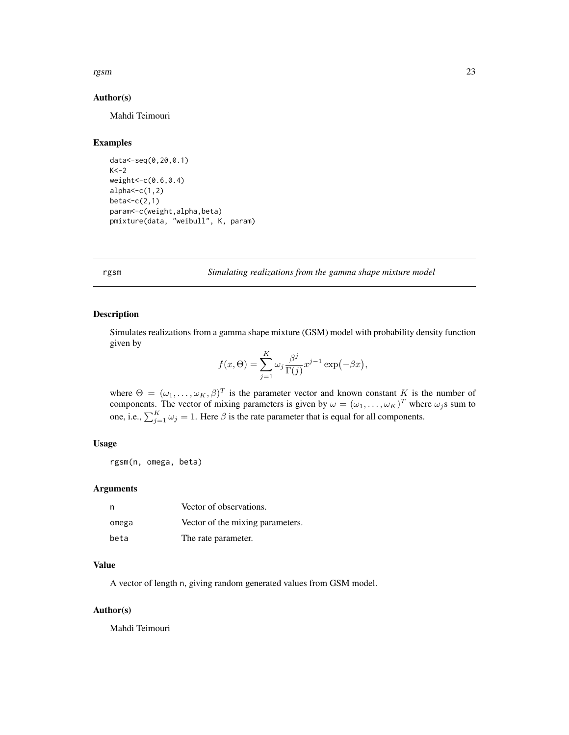# <span id="page-22-0"></span>rgsm 23

# Author(s)

Mahdi Teimouri

# Examples

```
data<-seq(0,20,0.1)
K < -2weight<-c(0.6,0.4)
alpha < -c(1,2)beta<-c(2,1)param<-c(weight,alpha,beta)
pmixture(data, "weibull", K, param)
```
rgsm *Simulating realizations from the gamma shape mixture model*

# Description

Simulates realizations from a gamma shape mixture (GSM) model with probability density function given by

$$
f(x,\Theta) = \sum_{j=1}^{K} \omega_j \frac{\beta^j}{\Gamma(j)} x^{j-1} \exp(-\beta x),
$$

where  $\Theta = (\omega_1, \ldots, \omega_K, \beta)^T$  is the parameter vector and known constant K is the number of components. The vector of mixing parameters is given by  $\omega = (\omega_1, \dots, \omega_K)^T$  where  $\omega_j$ s sum to one, i.e.,  $\sum_{j=1}^{K} \omega_j = 1$ . Here  $\beta$  is the rate parameter that is equal for all components.

# Usage

rgsm(n, omega, beta)

# Arguments

| n     | Vector of observations.          |
|-------|----------------------------------|
| omega | Vector of the mixing parameters. |
| beta  | The rate parameter.              |

#### Value

A vector of length n, giving random generated values from GSM model.

#### Author(s)

Mahdi Teimouri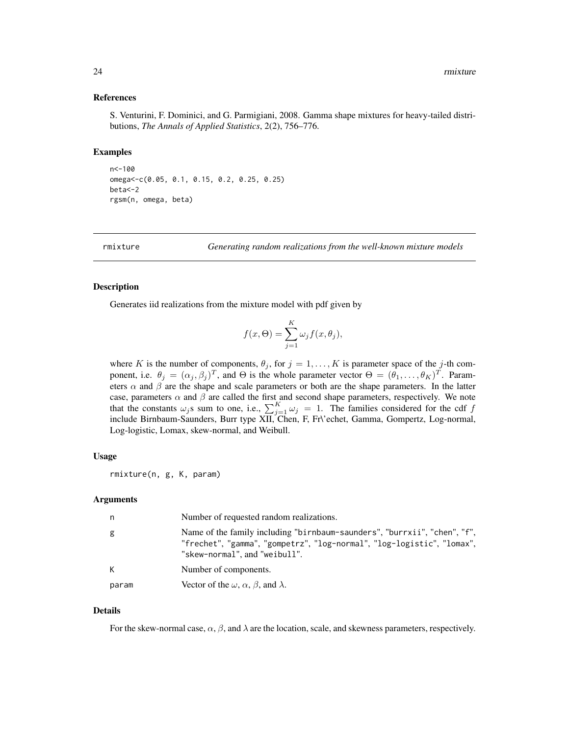# <span id="page-23-0"></span>References

S. Venturini, F. Dominici, and G. Parmigiani, 2008. Gamma shape mixtures for heavy-tailed distributions, *The Annals of Applied Statistics*, 2(2), 756–776.

# Examples

```
n<-100
omega<-c(0.05, 0.1, 0.15, 0.2, 0.25, 0.25)
beta<-2
rgsm(n, omega, beta)
```
rmixture *Generating random realizations from the well-known mixture models*

# Description

Generates iid realizations from the mixture model with pdf given by

$$
f(x, \Theta) = \sum_{j=1}^{K} \omega_j f(x, \theta_j),
$$

where K is the number of components,  $\theta_j$ , for  $j = 1, \ldots, K$  is parameter space of the j-th component, i.e.  $\theta_j = (\alpha_j, \beta_j)^T$ , and  $\Theta$  is the whole parameter vector  $\Theta = (\theta_1, \dots, \theta_K)^T$ . Parameters  $\alpha$  and  $\beta$  are the shape and scale parameters or both are the shape parameters. In the latter case, parameters  $\alpha$  and  $\beta$  are called the first and second shape parameters, respectively. We note that the constants  $\omega_j$ s sum to one, i.e.,  $\sum_{j=1}^K \omega_j = 1$ . The families considered for the cdf f include Birnbaum-Saunders, Burr type XII, Chen, F, Fr\'echet, Gamma, Gompertz, Log-normal, Log-logistic, Lomax, skew-normal, and Weibull.

# Usage

rmixture(n, g, K, param)

#### Arguments

| n,    | Number of requested random realizations.                                                                                                                                             |
|-------|--------------------------------------------------------------------------------------------------------------------------------------------------------------------------------------|
| g     | Name of the family including "birnbaum-saunders", "burrxii", "chen", "f",<br>"frechet", "gamma", "gompetrz", "log-normal", "log-logistic", "lomax",<br>"skew-normal", and "weibull". |
| K     | Number of components.                                                                                                                                                                |
| param | Vector of the $\omega$ , $\alpha$ , $\beta$ , and $\lambda$ .                                                                                                                        |

#### Details

For the skew-normal case,  $\alpha$ ,  $\beta$ , and  $\lambda$  are the location, scale, and skewness parameters, respectively.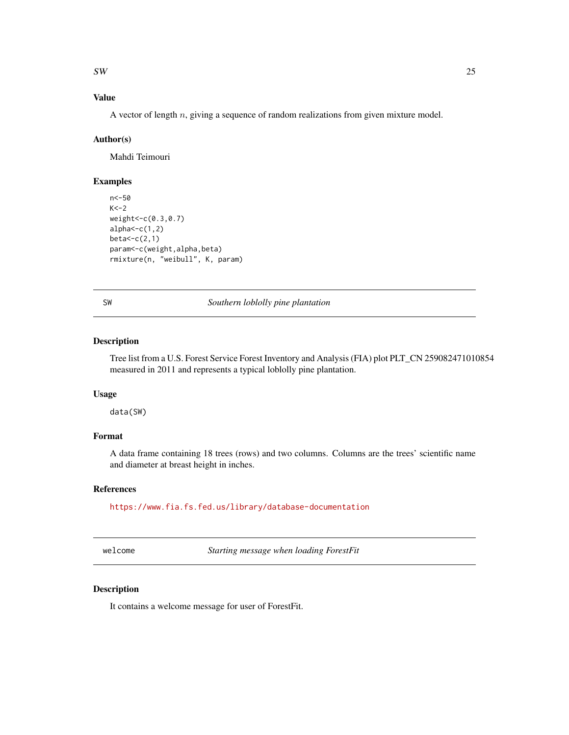<span id="page-24-0"></span> $SW$  25

# Value

A vector of length  $n$ , giving a sequence of random realizations from given mixture model.

# Author(s)

Mahdi Teimouri

# Examples

```
n<-50
K < -2weight<-c(0.3,0.7)
alpha < -c(1,2)beta<-c(2,1)
param<-c(weight,alpha,beta)
rmixture(n, "weibull", K, param)
```
SW *Southern loblolly pine plantation*

# Description

Tree list from a U.S. Forest Service Forest Inventory and Analysis (FIA) plot PLT\_CN 259082471010854 measured in 2011 and represents a typical loblolly pine plantation.

# Usage

data(SW)

# Format

A data frame containing 18 trees (rows) and two columns. Columns are the trees' scientific name and diameter at breast height in inches.

# References

<https://www.fia.fs.fed.us/library/database-documentation>

welcome *Starting message when loading ForestFit*

# Description

It contains a welcome message for user of ForestFit.